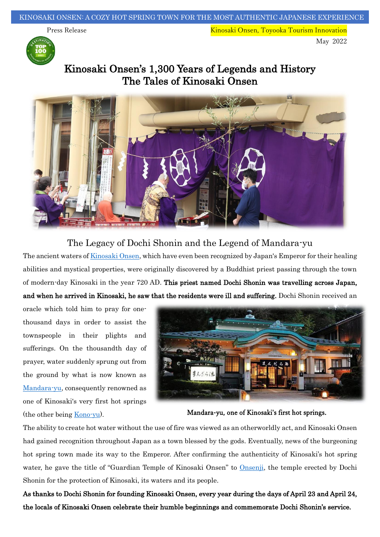Press Release Kinosaki Onsen, Toyooka Tourism Innovation May 2022



Kinosaki Onsen's 1,300 Years of Legends and History The Tales of Kinosaki Onsen



### The Legacy of Dochi Shonin and the Legend of Mandara-yu

The ancient waters o[f Kinosaki Onsen,](https://visitkinosaki.com/) which have even been recognized by Japan's Emperor for their healing abilities and mystical properties, were originally discovered by a Buddhist priest passing through the town of modern-day Kinosaki in the year 720 AD. This priest named Dochi Shonin was travelling across Japan, and when he arrived in Kinosaki, he saw that the residents were ill and suffering. Dochi Shonin received an

oracle which told him to pray for onethousand days in order to assist the townspeople in their plights and sufferings. On the thousandth day of prayer, water suddenly sprung out from the ground by what is now known as [Mandara-yu,](https://visitkinosaki.com/things-to-do/mandara-yu/) consequently renowned as one of Kinosaki's very first hot springs (the other being [Kono-yu\)](https://visitkinosaki.com/things-to-do/kono-yu/).



Mandara-yu, one of Kinosaki's first hot springs.

The ability to create hot water without the use of fire was viewed as an otherworldly act, and Kinosaki Onsen had gained recognition throughout Japan as a town blessed by the gods. Eventually, news of the burgeoning hot spring town made its way to the Emperor. After confirming the authenticity of Kinosaki's hot spring water, he gave the title of "Guardian Temple of Kinosaki Onsen" to [Onsenji,](https://visitkinosaki.com/tour-packages/onsenji-temple-hot-spring-therapy-origins-tour/) the temple erected by Dochi Shonin for the protection of Kinosaki, its waters and its people.

As thanks to Dochi Shonin for founding Kinosaki Onsen, every year during the days of April 23 and April 24, the locals of Kinosaki Onsen celebrate their humble beginnings and commemorate Dochi Shonin's service.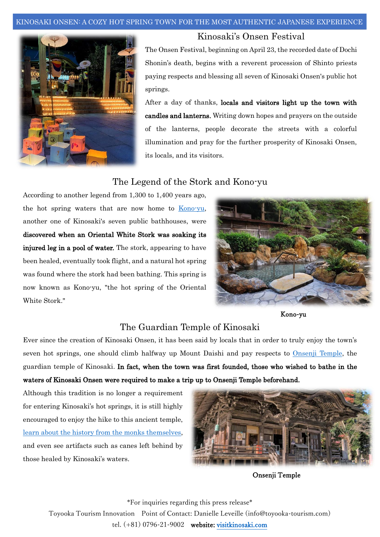#### KINOSAKI ONSEN: A COZY HOT SPRING TOWN FOR THE MOST AUTHENTIC JAPANESE EXPERIENCE



### Kinosaki's Onsen Festival

The Onsen Festival, beginning on April 23, the recorded date of Dochi Shonin's death, begins with a reverent procession of Shinto priests paying respects and blessing all seven of Kinosaki Onsen's public hot springs.

After a day of thanks, locals and visitors light up the town with candles and lanterns. Writing down hopes and prayers on the outside of the lanterns, people decorate the streets with a colorful illumination and pray for the further prosperity of Kinosaki Onsen, its locals, and its visitors.

# The Legend of the Stork and Kono-yu

According to another legend from 1,300 to 1,400 years ago, the hot spring waters that are now home to [Kono-yu,](https://visitkinosaki.com/things-to-do/kono-yu/) another one of Kinosaki's seven public bathhouses, were discovered when an Oriental White Stork was soaking its injured leg in a pool of water. The stork, appearing to have been healed, eventually took flight, and a natural hot spring was found where the stork had been bathing. This spring is now known as Kono-yu, "the hot spring of the Oriental White Stork."



Kono-yu

# The Guardian Temple of Kinosaki

Ever since the creation of Kinosaki Onsen, it has been said by locals that in order to truly enjoy the town's seven hot springs, one should climb halfway up Mount Daishi and pay respects to [Onsenji Temple,](https://visitkinosaki.com/things-to-do/onsen-ji-temple/) the guardian temple of Kinosaki. In fact, when the town was first founded, those who wished to bathe in the waters of Kinosaki Onsen were required to make a trip up to Onsenji Temple beforehand.

Although this tradition is no longer a requirement for entering Kinosaki's hot springs, it is still highly encouraged to enjoy the hike to this ancient temple, learn about [the history from the monks themselves,](https://visitkinosaki.com/tour-packages/onsenji-temple-hot-spring-therapy-origins-tour/) and even see artifacts such as canes left behind by those healed by Kinosaki's waters.



Onsenji Temple

\*For inquiries regarding this press release\* Toyooka Tourism Innovation Point of Contact: Danielle Leveille (info@toyooka-tourism.com) tel. (+81) 0796-21-9002 website[: visitkinosaki.com](https://visitkinosaki.com/)